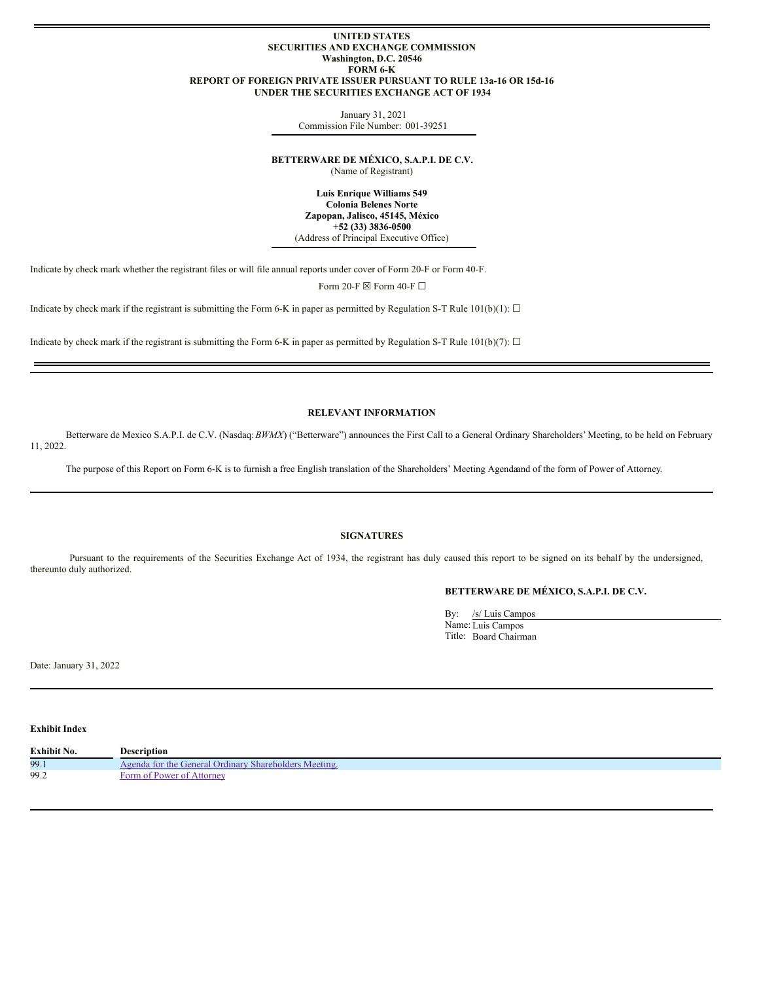#### **UNITED STATES SECURITIES AND EXCHANGE COMMISSION Washington, D.C. 20546 FORM 6-K REPORT OF FOREIGN PRIVATE ISSUER PURSUANT TO RULE 13a-16 OR 15d-16 UNDER THE SECURITIES EXCHANGE ACT OF 1934**

January 31, 2021 Commission File Number: 001-39251

**BETTERWARE DE MÉXICO, S.A.P.I. DE C.V.**

(Name of Registrant)

**Luis Enrique Williams 549 Colonia Belenes Norte Zapopan, Jalisco, 45145, México +52 (33) 3836-0500** (Address of Principal Executive Office)

Indicate by check mark whether the registrant files or will file annual reports under cover of Form 20-F or Form 40-F.

Form 20-F  $\boxdot$  Form 40-F  $\Box$ 

Indicate by check mark if the registrant is submitting the Form 6-K in paper as permitted by Regulation S-T Rule 101(b)(1):  $\Box$ 

Indicate by check mark if the registrant is submitting the Form 6-K in paper as permitted by Regulation S-T Rule 101(b)(7):  $\Box$ 

### **RELEVANT INFORMATION**

Betterware de Mexico S.A.P.I. de C.V. (Nasdaq:*BWMX*) ("Betterware") announces the First Call to a General Ordinary Shareholders' Meeting, to be held on February 11, 2022.

The purpose of this Report on Form 6-K is to furnish a free English translation of the Shareholders' Meeting Agendaand of the form of Power of Attorney.

## **SIGNATURES**

Pursuant to the requirements of the Securities Exchange Act of 1934, the registrant has duly caused this report to be signed on its behalf by the undersigned, thereunto duly authorized.

# **BETTERWARE DE MÉXICO, S.A.P.I. DE C.V.**

By: /s/ Luis Campos Name: Luis Campos Title: Board Chairman

Date: January 31, 2022

**Exhibit Index**

| Exhibit No. | Description                                           |
|-------------|-------------------------------------------------------|
| 99.1        | Agenda for the General Ordinary Shareholders Meeting. |
| 99.2        | Form of Power of Attorney                             |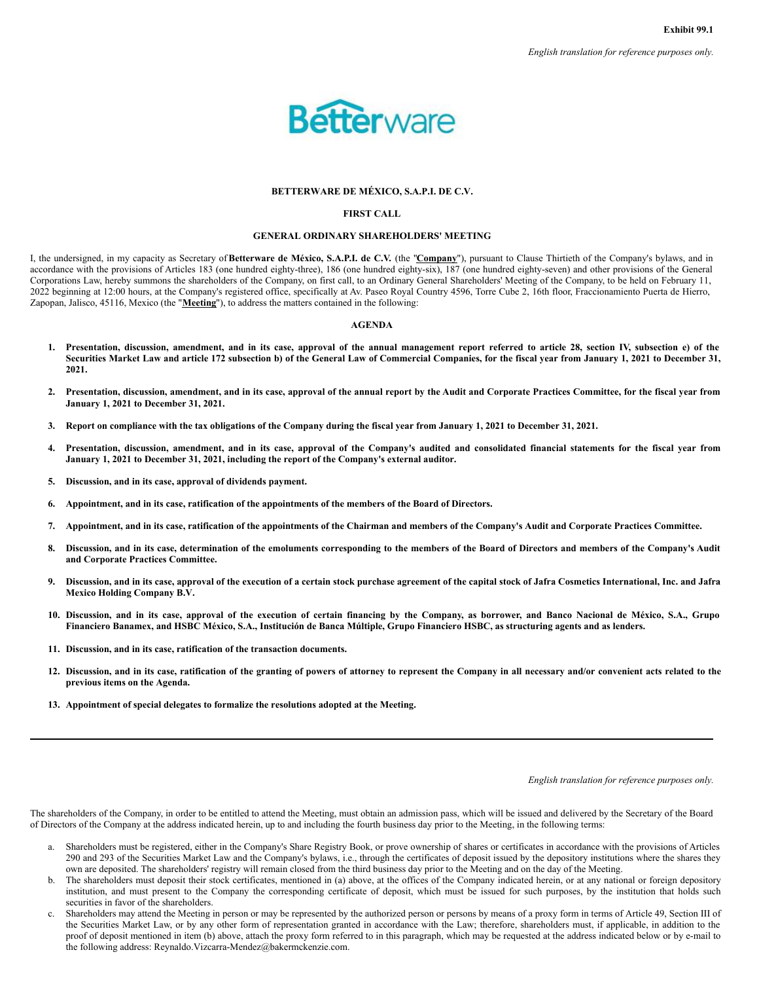

### **BETTERWARE DE MÉXICO, S.A.P.I. DE C.V.**

### **FIRST CALL**

#### **GENERAL ORDINARY SHAREHOLDERS' MEETING**

<span id="page-1-0"></span>I, the undersigned, in my capacity as Secretary of**Betterware de México, S.A.P.I. de C.V.** (the "**Company**"), pursuant to Clause Thirtieth of the Company's bylaws, and in accordance with the provisions of Articles 183 (one hundred eighty-three), 186 (one hundred eighty-six), 187 (one hundred eighty-seven) and other provisions of the General Corporations Law, hereby summons the shareholders of the Company, on first call, to an Ordinary General Shareholders' Meeting of the Company, to be held on February 11, 2022 beginning at 12:00 hours, at the Company's registered office, specifically at Av. Paseo Royal Country 4596, Torre Cube 2, 16th floor, Fraccionamiento Puerta de Hierro, Zapopan, Jalisco, 45116, Mexico (the "**Meeting**"), to address the matters contained in the following:

#### **AGENDA**

- 1. Presentation, discussion, amendment, and in its case, approval of the annual management report referred to article 28, section IV, subsection e) of the Securities Market Law and article 172 subsection b) of the General Law of Commercial Companies, for the fiscal year from January 1, 2021 to December 31, **2021.**
- 2. Presentation, discussion, amendment, and in its case, approval of the annual report by the Audit and Corporate Practices Committee, for the fiscal year from **January 1, 2021 to December 31, 2021.**
- 3. Report on compliance with the tax obligations of the Company during the fiscal year from January 1, 2021 to December 31, 2021.
- 4. Presentation, discussion, amendment, and in its case, approval of the Company's audited and consolidated financial statements for the fiscal year from **January 1, 2021 to December 31, 2021, including the report of the Company's external auditor.**
- **5. Discussion, and in its case, approval of dividends payment.**
- 6. Appointment, and in its case, ratification of the appointments of the members of the Board of Directors.
- 7. Appointment, and in its case, ratification of the appointments of the Chairman and members of the Company's Audit and Corporate Practices Committee.
- 8. Discussion, and in its case, determination of the emoluments corresponding to the members of the Board of Directors and members of the Company's Audit **and Corporate Practices Committee.**
- 9. Discussion, and in its case, approval of the execution of a certain stock purchase agreement of the capital stock of Jafra Cosmetics International, Inc. and Jafra **Mexico Holding Company B.V.**
- 10. Discussion, and in its case, approval of the execution of certain financing by the Company, as borrower, and Banco Nacional de México, S.A., Grupo Financiero Banamex, and HSBC México, S.A., Institución de Banca Múltiple, Grupo Financiero HSBC, as structuring agents and as lenders.
- **11. Discussion, and in its case, ratification of the transaction documents.**
- 12. Discussion, and in its case, ratification of the granting of powers of attorney to represent the Company in all necessary and/or convenient acts related to the **previous items on the Agenda.**
- **13. Appointment of special delegates to formalize the resolutions adopted at the Meeting.**

*English translation for reference purposes only.*

The shareholders of the Company, in order to be entitled to attend the Meeting, must obtain an admission pass, which will be issued and delivered by the Secretary of the Board of Directors of the Company at the address indicated herein, up to and including the fourth business day prior to the Meeting, in the following terms:

- a. Shareholders must be registered, either in the Company's Share Registry Book, or prove ownership of shares or certificates in accordance with the provisions of Articles 290 and 293 of the Securities Market Law and the Company's bylaws, i.e., through the certificates of deposit issued by the depository institutions where the shares they own are deposited. The shareholders' registry will remain closed from the third business day prior to the Meeting and on the day of the Meeting.
- b. The shareholders must deposit their stock certificates, mentioned in (a) above, at the offices of the Company indicated herein, or at any national or foreign depository institution, and must present to the Company the corresponding certificate of deposit, which must be issued for such purposes, by the institution that holds such securities in favor of the shareholders.
- c. Shareholders may attend the Meeting in person or may be represented by the authorized person or persons by means of a proxy form in terms of Article 49, Section III of the Securities Market Law, or by any other form of representation granted in accordance with the Law; therefore, shareholders must, if applicable, in addition to the proof of deposit mentioned in item (b) above, attach the proxy form referred to in this paragraph, which may be requested at the address indicated below or by e-mail to the following address: Reynaldo.Vizcarra-Mendez@bakermckenzie.com.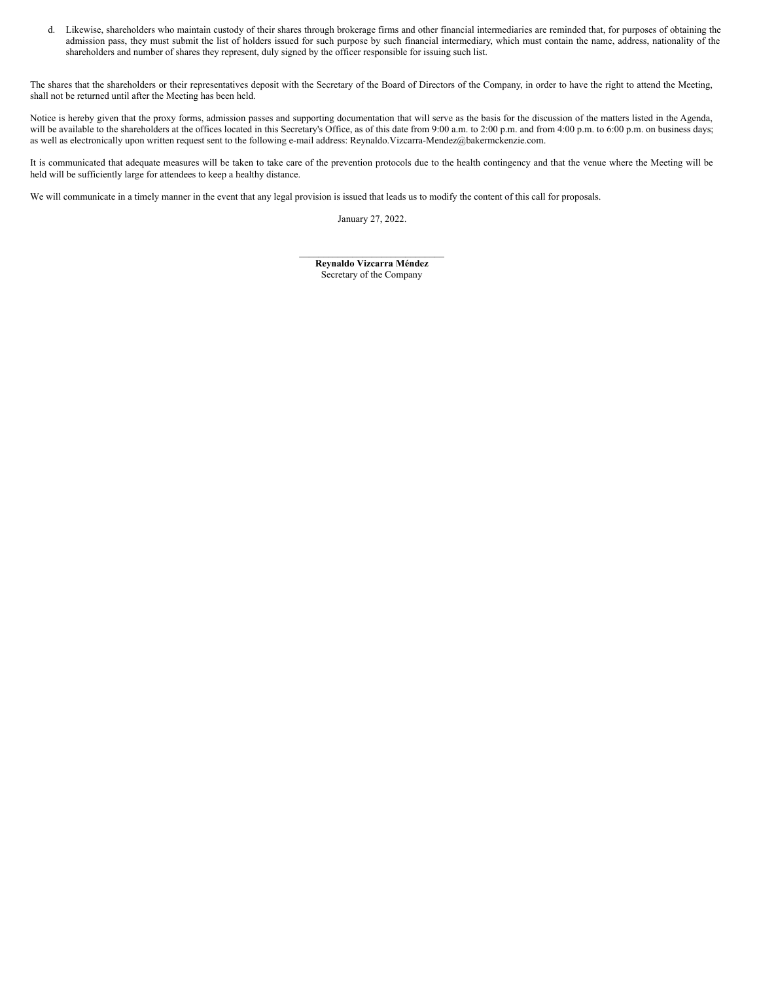d. Likewise, shareholders who maintain custody of their shares through brokerage firms and other financial intermediaries are reminded that, for purposes of obtaining the admission pass, they must submit the list of holders issued for such purpose by such financial intermediary, which must contain the name, address, nationality of the shareholders and number of shares they represent, duly signed by the officer responsible for issuing such list.

The shares that the shareholders or their representatives deposit with the Secretary of the Board of Directors of the Company, in order to have the right to attend the Meeting, shall not be returned until after the Meeting has been held.

Notice is hereby given that the proxy forms, admission passes and supporting documentation that will serve as the basis for the discussion of the matters listed in the Agenda, will be available to the shareholders at the offices located in this Secretary's Office, as of this date from 9:00 a.m. to 2:00 p.m. and from 4:00 p.m. to 6:00 p.m. on business days; as well as electronically upon written request sent to the following e-mail address: Reynaldo.Vizcarra-Mendez@bakermckenzie.com.

It is communicated that adequate measures will be taken to take care of the prevention protocols due to the health contingency and that the venue where the Meeting will be held will be sufficiently large for attendees to keep a healthy distance.

We will communicate in a timely manner in the event that any legal provision is issued that leads us to modify the content of this call for proposals.

January 27, 2022.

 $\mathcal{L}_\text{max}$ **Reynaldo Vizcarra Méndez** Secretary of the Company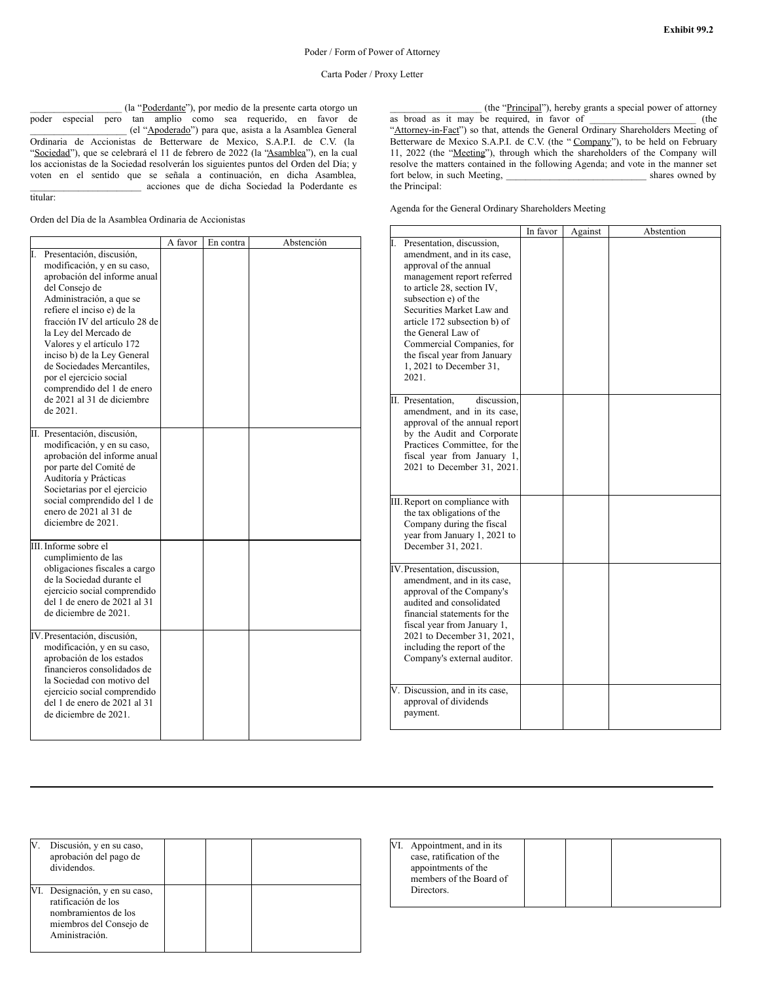\_\_\_\_\_\_\_\_\_\_\_\_\_\_\_\_\_\_\_ (la "Poderdante"), por medio de la presente carta otorgo un poder especial pero tan amplio como sea requerido, en favor de \_\_\_\_\_\_\_\_\_\_\_\_\_\_\_\_\_\_\_\_ (el "Apoderado") para que, asista a la Asamblea General Ordinaria de Accionistas de Betterware de Mexico, S.A.P.I. de C.V. (la "Sociedad"), que se celebrará el 11 de febrero de 2022 (la "Asamblea"), en la cual los accionistas de la Sociedad resolverán los siguientes puntos del Orden del Día; y voten en el sentido que se señala a continuación, en dicha Asamblea, \_\_\_\_\_\_\_\_\_\_\_\_\_\_\_\_\_\_\_\_\_\_\_ acciones que de dicha Sociedad la Poderdante es titular:

Orden del Día de la Asamblea Ordinaria de Accionistas

\_\_\_\_\_\_\_\_\_\_\_\_\_\_\_\_\_\_\_ (the "Principal"), hereby grants a special power of attorney as broad as it may be required, in favor of \_\_\_\_\_\_\_\_\_\_\_\_\_\_\_\_\_\_\_\_\_\_ (the "Attorney-in-Fact") so that, attends the General Ordinary Shareholders Meeting of Betterware de Mexico S.A.P.I. de C.V. (the "Company"), to be held on February 11, 2022 (the "Meeting"), through which the shareholders of the Company will resolve the matters contained in the following Agenda; and vote in the manner set fort below, in such Meeting, \_\_\_\_\_\_\_\_\_\_\_\_\_\_\_\_\_\_\_\_\_\_\_\_\_\_\_\_\_ shares owned by the Principal:

Agenda for the General Ordinary Shareholders Meeting

|                                |         |           |            |                                  | In favor | Against | Abstention |
|--------------------------------|---------|-----------|------------|----------------------------------|----------|---------|------------|
|                                | A favor | En contra | Abstención | Presentation, discussion,        |          |         |            |
| Presentación, discusión,       |         |           |            | amendment, and in its case,      |          |         |            |
| modificación, y en su caso,    |         |           |            | approval of the annual           |          |         |            |
| aprobación del informe anual   |         |           |            | management report referred       |          |         |            |
| del Consejo de                 |         |           |            | to article 28, section IV,       |          |         |            |
| Administración, a que se       |         |           |            | subsection e) of the             |          |         |            |
| refiere el inciso e) de la     |         |           |            | Securities Market Law and        |          |         |            |
| fracción IV del artículo 28 de |         |           |            | article 172 subsection b) of     |          |         |            |
| la Ley del Mercado de          |         |           |            | the General Law of               |          |         |            |
| Valores y el artículo 172      |         |           |            | Commercial Companies, for        |          |         |            |
| inciso b) de la Ley General    |         |           |            | the fiscal year from January     |          |         |            |
| de Sociedades Mercantiles,     |         |           |            | 1, 2021 to December 31,          |          |         |            |
| por el ejercicio social        |         |           |            | 2021.                            |          |         |            |
| comprendido del 1 de enero     |         |           |            |                                  |          |         |            |
| de 2021 al 31 de diciembre     |         |           |            | II. Presentation.<br>discussion. |          |         |            |
| de 2021.                       |         |           |            | amendment, and in its case,      |          |         |            |
|                                |         |           |            | approval of the annual report    |          |         |            |
| Presentación, discusión,<br>Π. |         |           |            | by the Audit and Corporate       |          |         |            |
| modificación, y en su caso,    |         |           |            | Practices Committee, for the     |          |         |            |
| aprobación del informe anual   |         |           |            | fiscal year from January 1,      |          |         |            |
| por parte del Comité de        |         |           |            | 2021 to December 31, 2021.       |          |         |            |
| Auditoría y Prácticas          |         |           |            |                                  |          |         |            |
| Societarias por el ejercicio   |         |           |            |                                  |          |         |            |
| social comprendido del 1 de    |         |           |            | III. Report on compliance with   |          |         |            |
| enero de 2021 al 31 de         |         |           |            | the tax obligations of the       |          |         |            |
| diciembre de 2021.             |         |           |            | Company during the fiscal        |          |         |            |
|                                |         |           |            | year from January 1, 2021 to     |          |         |            |
| III. Informe sobre el          |         |           |            | December 31, 2021.               |          |         |            |
| cumplimiento de las            |         |           |            |                                  |          |         |            |
| obligaciones fiscales a cargo  |         |           |            | IV. Presentation, discussion,    |          |         |            |
| de la Sociedad durante el      |         |           |            | amendment, and in its case,      |          |         |            |
| ejercicio social comprendido   |         |           |            | approval of the Company's        |          |         |            |
| del 1 de enero de 2021 al 31   |         |           |            | audited and consolidated         |          |         |            |
| de diciembre de 2021.          |         |           |            | financial statements for the     |          |         |            |
|                                |         |           |            | fiscal year from January 1,      |          |         |            |
| V. Presentación, discusión,    |         |           |            | 2021 to December 31, 2021,       |          |         |            |
| modificación, y en su caso,    |         |           |            | including the report of the      |          |         |            |
| aprobación de los estados      |         |           |            | Company's external auditor.      |          |         |            |
| financieros consolidados de    |         |           |            |                                  |          |         |            |
| la Sociedad con motivo del     |         |           |            |                                  |          |         |            |
| ejercicio social comprendido   |         |           |            | V. Discussion, and in its case,  |          |         |            |
| del 1 de enero de 2021 al 31   |         |           |            | approval of dividends            |          |         |            |
| de diciembre de 2021.          |         |           |            | payment.                         |          |         |            |
|                                |         |           |            |                                  |          |         |            |
|                                |         |           |            |                                  |          |         |            |

| Discusión, y en su caso,<br>aprobación del pago de<br>dividendos.                                                          |  |  |
|----------------------------------------------------------------------------------------------------------------------------|--|--|
| VI. Designación, y en su caso,<br>ratificación de los<br>nombramientos de los<br>miembros del Consejo de<br>Aministración. |  |  |

| VI. | Appointment, and in its<br>case, ratification of the<br>appointments of the<br>members of the Board of |  |  |
|-----|--------------------------------------------------------------------------------------------------------|--|--|
|     | Directors.                                                                                             |  |  |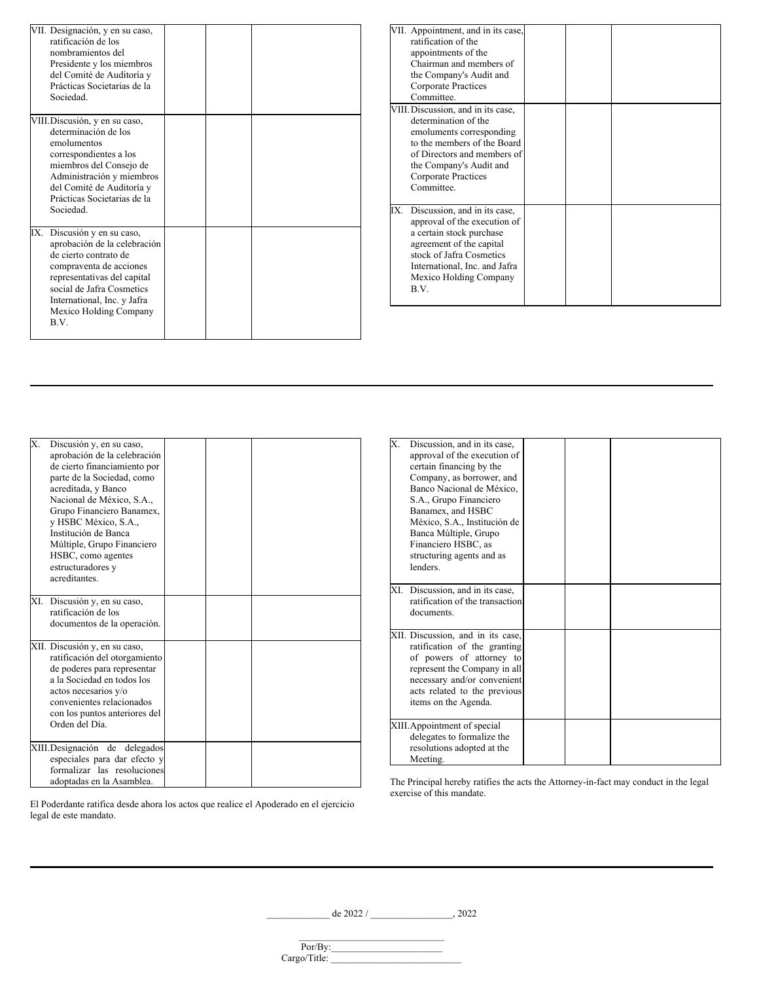<span id="page-4-0"></span>

|     | VII. Designación, y en su caso,<br>ratificación de los<br>nombramientos del<br>Presidente y los miembros<br>del Comité de Auditoría y<br>Prácticas Societarias de la<br>Sociedad.                                                        |  |  |
|-----|------------------------------------------------------------------------------------------------------------------------------------------------------------------------------------------------------------------------------------------|--|--|
|     | VIII. Discusión, y en su caso,<br>determinación de los<br>emolumentos<br>correspondientes a los<br>miembros del Consejo de<br>Administración y miembros<br>del Comité de Auditoría y<br>Prácticas Societarias de la<br>Sociedad.         |  |  |
| IX. | Discusión y en su caso,<br>aprobación de la celebración<br>de cierto contrato de<br>compraventa de acciones<br>representativas del capital<br>social de Jafra Cosmetics<br>International, Inc. y Jafra<br>Mexico Holding Company<br>B.V. |  |  |

|     | VII. Appointment, and in its case,<br>ratification of the<br>appointments of the<br>Chairman and members of<br>the Company's Audit and<br>Corporate Practices<br>Committee.                                          |  |  |
|-----|----------------------------------------------------------------------------------------------------------------------------------------------------------------------------------------------------------------------|--|--|
|     | VIII. Discussion, and in its case,<br>determination of the<br>emoluments corresponding<br>to the members of the Board<br>of Directors and members of<br>the Company's Audit and<br>Corporate Practices<br>Committee. |  |  |
| IX. | Discussion, and in its case,<br>approval of the execution of<br>a certain stock purchase<br>agreement of the capital<br>stock of Jafra Cosmetics<br>International, Inc. and Jafra<br>Mexico Holding Company<br>B.V.  |  |  |

| Х.  | Discusión y, en su caso,<br>aprobación de la celebración<br>de cierto financiamiento por<br>parte de la Sociedad, como<br>acreditada, y Banco<br>Nacional de México, S.A.,<br>Grupo Financiero Banamex,<br>y HSBC México, S.A.,<br>Institución de Banca<br>Múltiple, Grupo Financiero<br>HSBC, como agentes<br>estructuradores y<br>acreditantes. |  |  |
|-----|---------------------------------------------------------------------------------------------------------------------------------------------------------------------------------------------------------------------------------------------------------------------------------------------------------------------------------------------------|--|--|
| XI. | Discusión y, en su caso,<br>ratificación de los<br>documentos de la operación.                                                                                                                                                                                                                                                                    |  |  |
|     | XII. Discusión y, en su caso,<br>ratificación del otorgamiento<br>de poderes para representar<br>a la Sociedad en todos los<br>actos necesarios y/o<br>convenientes relacionados<br>con los puntos anteriores del<br>Orden del Día.                                                                                                               |  |  |
|     | XIII. Designación de<br>delegados<br>especiales para dar efecto y<br>formalizar las resoluciones<br>adoptadas en la Asamblea.                                                                                                                                                                                                                     |  |  |

| Banco Nacional de México,<br>S.A., Grupo Financiero<br>Banamex, and HSBC<br>México, S.A., Institución de<br>Banca Múltiple, Grupo<br>Financiero HSBC, as<br>structuring agents and as<br>lenders.                    |  |  |
|----------------------------------------------------------------------------------------------------------------------------------------------------------------------------------------------------------------------|--|--|
| XI. Discussion, and in its case,<br>ratification of the transaction<br>documents.                                                                                                                                    |  |  |
| XII. Discussion, and in its case,<br>ratification of the granting<br>of powers of attorney to<br>represent the Company in all<br>necessary and/or convenient<br>acts related to the previous<br>items on the Agenda. |  |  |
| XIII. Appointment of special<br>delegates to formalize the<br>resolutions adopted at the<br>Meeting.                                                                                                                 |  |  |

X. Discussion, and in its case, approval of the execution of certain financing by the Company, as borrower, and

El Poderdante ratifica desde ahora los actos que realice el Apoderado en el ejercicio legal de este mandato.

The Principal hereby ratifies the acts the Attorney-in-fact may conduct in the legal exercise of this mandate.

\_\_\_\_\_\_\_\_\_\_\_\_\_ de 2022 / \_\_\_\_\_\_\_\_\_\_\_\_\_\_\_\_\_, 2022

| $Por/By$ :   |  |
|--------------|--|
| Cargo/Title: |  |
|              |  |